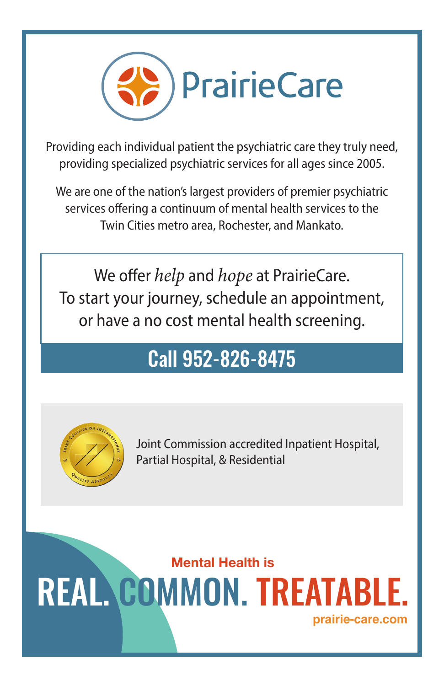

providing specialized psychiatric services for all ages since 2005. Providing each individual patient the psychiatric care they truly need,

providing specialized psychiatric services for all ages since 2005. services offering a continuum of mental health services to the Twin Cities metro area, Rochester, and Mankato. We are one of the nation's largest providers of premier psychiatric

To start your journey, schedule an appointment, or have a no cost mental health screening. We offer *help* and *hope* at PrairieCare.

## no cost mental health screening: **Call 952-826-8475** Call 952-826-8475



Joint Commission accredited Inpatient Hospital, Joint Commission accredited Inpatient Hospital, Partial Hospital, & Residential Partial Hospital, & Residential